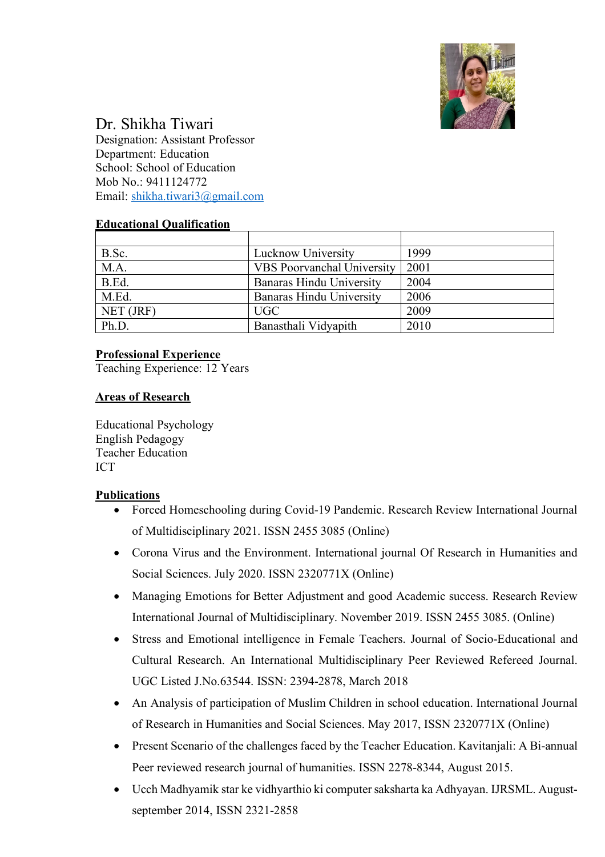

# Dr. Shikha Tiwari

Designation: Assistant Professor Department: Education School: School of Education Mob No.: 9411124772 Email: shikha.tiwari3@gmail.com

### **Educational Qualification**

| B.Sc.     | Lucknow University                | 1999 |
|-----------|-----------------------------------|------|
| M.A.      | <b>VBS</b> Poorvanchal University | 2001 |
| B.Ed.     | Banaras Hindu University          | 2004 |
| M.Ed.     | Banaras Hindu University          | 2006 |
| NET (JRF) | UGC                               | 2009 |
| Ph.D.     | Banasthali Vidyapith              | 2010 |

### **Professional Experience**

Teaching Experience: 12 Years

### **Areas of Research**

Educational Psychology English Pedagogy Teacher Education ICT

#### **Publications**

- Forced Homeschooling during Covid-19 Pandemic. Research Review International Journal of Multidisciplinary 2021. ISSN 2455 3085 (Online)
- Corona Virus and the Environment. International journal Of Research in Humanities and Social Sciences. July 2020. ISSN 2320771X (Online)
- Managing Emotions for Better Adjustment and good Academic success. Research Review International Journal of Multidisciplinary. November 2019. ISSN 2455 3085. (Online)
- Stress and Emotional intelligence in Female Teachers. Journal of Socio-Educational and Cultural Research. An International Multidisciplinary Peer Reviewed Refereed Journal. UGC Listed J.No.63544. ISSN: 2394-2878, March 2018
- An Analysis of participation of Muslim Children in school education. International Journal of Research in Humanities and Social Sciences. May 2017, ISSN 2320771X (Online)
- Present Scenario of the challenges faced by the Teacher Education. Kavitanjali: A Bi-annual Peer reviewed research journal of humanities. ISSN 2278-8344, August 2015.
- Ucch Madhyamik star ke vidhyarthio ki computer saksharta ka Adhyayan. IJRSML. Augustseptember 2014, ISSN 2321-2858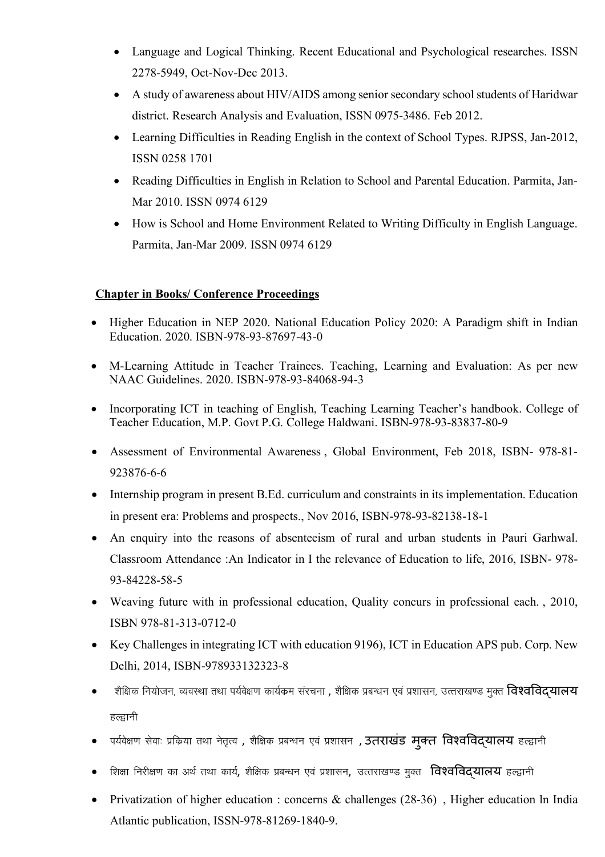- Language and Logical Thinking. Recent Educational and Psychological researches. ISSN 2278-5949, Oct-Nov-Dec 2013.
- A study of awareness about HIV/AIDS among senior secondary school students of Haridwar district. Research Analysis and Evaluation, ISSN 0975-3486. Feb 2012.
- Learning Difficulties in Reading English in the context of School Types. RJPSS, Jan-2012, ISSN 0258 1701
- Reading Difficulties in English in Relation to School and Parental Education. Parmita, Jan-Mar 2010. ISSN 0974 6129
- How is School and Home Environment Related to Writing Difficulty in English Language. Parmita, Jan-Mar 2009. ISSN 0974 6129

### **Chapter in Books/ Conference Proceedings**

- Higher Education in NEP 2020. National Education Policy 2020: A Paradigm shift in Indian Education. 2020. ISBN-978-93-87697-43-0
- M-Learning Attitude in Teacher Trainees. Teaching, Learning and Evaluation: As per new NAAC Guidelines. 2020. ISBN-978-93-84068-94-3
- Incorporating ICT in teaching of English, Teaching Learning Teacher's handbook. College of Teacher Education, M.P. Govt P.G. College Haldwani. ISBN-978-93-83837-80-9
- Assessment of Environmental Awareness , Global Environment, Feb 2018, ISBN- 978-81- 923876-6-6
- Internship program in present B.Ed. curriculum and constraints in its implementation. Education in present era: Problems and prospects., Nov 2016, ISBN-978-93-82138-18-1
- An enquiry into the reasons of absenteeism of rural and urban students in Pauri Garhwal. Classroom Attendance :An Indicator in I the relevance of Education to life, 2016, ISBN- 978- 93-84228-58-5
- Weaving future with in professional education, Quality concurs in professional each. , 2010, ISBN 978-81-313-0712-0
- Key Challenges in integrating ICT with education 9196), ICT in Education APS pub. Corp. New Delhi, 2014, ISBN-978933132323-8
- $\bullet$  ) शैक्षिक नियोजन, व्यवस्था तथा पर्यवेक्षण कार्यक्रम संरचना , शैक्षिक प्रबन्धन एवं प्रशासन, उत्तराखण्ड मुक्त **विश्वविदयालय** हल्द्वानी
- पर्यवेक्षण सेवाः प्रकिया तथा नेतृत्व , शैक्षिक प्रबन्धन एवं प्रशासन , **उतराखंड मुक्त विश्वविद्**यालय हल्द्वानी
- शिक्षा निरीक्षण का अर्थ तथा कार्य, शैक्षिक प्रबन्धन एवं प्रशासन, उत्तराखण्ड मुक्त **विश्वविदयालय** हल्द्वानी
- Privatization of higher education : concerns & challenges (28-36), Higher education ln India Atlantic publication, ISSN-978-81269-1840-9.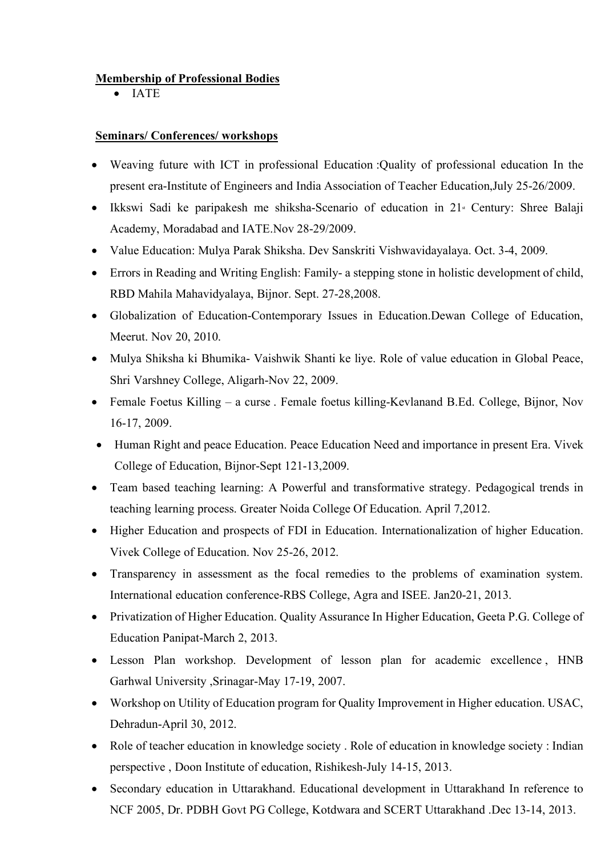## **Membership of Professional Bodies**

• IATE

#### **Seminars/ Conferences/ workshops**

- Weaving future with ICT in professional Education :Quality of professional education In the present era-Institute of Engineers and India Association of Teacher Education,July 25-26/2009.
- Ikkswi Sadi ke paripakesh me shiksha-Scenario of education in  $21$ <sup>\*</sup> Century: Shree Balaji Academy, Moradabad and IATE.Nov 28-29/2009.
- Value Education: Mulya Parak Shiksha. Dev Sanskriti Vishwavidayalaya. Oct. 3-4, 2009.
- Errors in Reading and Writing English: Family- a stepping stone in holistic development of child, RBD Mahila Mahavidyalaya, Bijnor. Sept. 27-28,2008.
- Globalization of Education-Contemporary Issues in Education.Dewan College of Education, Meerut. Nov 20, 2010.
- Mulya Shiksha ki Bhumika- Vaishwik Shanti ke liye. Role of value education in Global Peace, Shri Varshney College, Aligarh-Nov 22, 2009.
- Female Foetus Killing a curse . Female foetus killing-Kevlanand B.Ed. College, Bijnor, Nov 16-17, 2009.
- Human Right and peace Education. Peace Education Need and importance in present Era. Vivek College of Education, Bijnor-Sept 121-13,2009.
- Team based teaching learning: A Powerful and transformative strategy. Pedagogical trends in teaching learning process. Greater Noida College Of Education. April 7,2012.
- Higher Education and prospects of FDI in Education. Internationalization of higher Education. Vivek College of Education. Nov 25-26, 2012.
- Transparency in assessment as the focal remedies to the problems of examination system. International education conference-RBS College, Agra and ISEE. Jan20-21, 2013.
- Privatization of Higher Education. Quality Assurance In Higher Education, Geeta P.G. College of Education Panipat-March 2, 2013.
- Lesson Plan workshop. Development of lesson plan for academic excellence , HNB Garhwal University ,Srinagar-May 17-19, 2007.
- Workshop on Utility of Education program for Quality Improvement in Higher education. USAC, Dehradun-April 30, 2012.
- Role of teacher education in knowledge society. Role of education in knowledge society : Indian perspective , Doon Institute of education, Rishikesh-July 14-15, 2013.
- Secondary education in Uttarakhand. Educational development in Uttarakhand In reference to NCF 2005, Dr. PDBH Govt PG College, Kotdwara and SCERT Uttarakhand .Dec 13-14, 2013.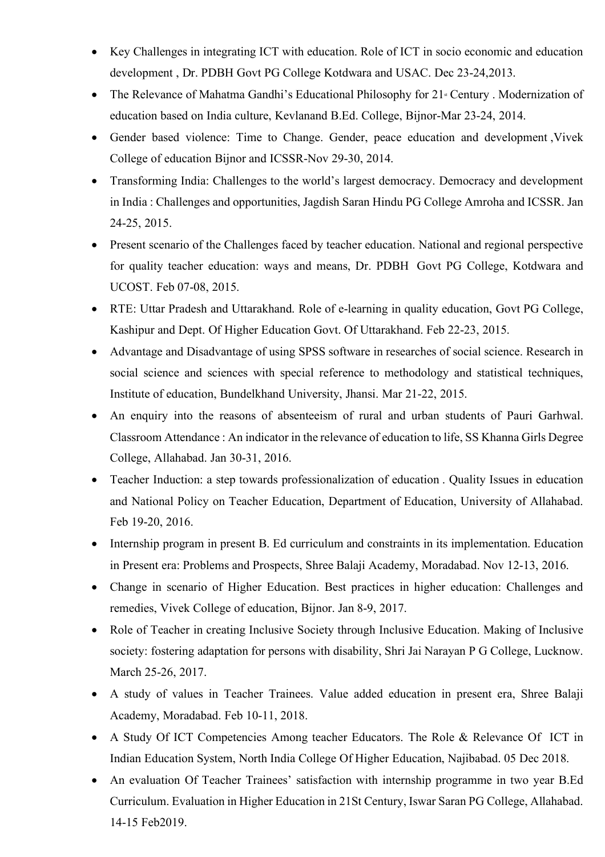- Key Challenges in integrating ICT with education. Role of ICT in socio economic and education development , Dr. PDBH Govt PG College Kotdwara and USAC. Dec 23-24,2013.
- The Relevance of Mahatma Gandhi's Educational Philosophy for  $21$ <sup>st</sup> Century . Modernization of education based on India culture, Kevlanand B.Ed. College, Bijnor-Mar 23-24, 2014.
- Gender based violence: Time to Change. Gender, peace education and development ,Vivek College of education Bijnor and ICSSR-Nov 29-30, 2014.
- Transforming India: Challenges to the world's largest democracy. Democracy and development in India : Challenges and opportunities, Jagdish Saran Hindu PG College Amroha and ICSSR. Jan 24-25, 2015.
- Present scenario of the Challenges faced by teacher education. National and regional perspective for quality teacher education: ways and means, Dr. PDBH Govt PG College, Kotdwara and UCOST. Feb 07-08, 2015.
- RTE: Uttar Pradesh and Uttarakhand. Role of e-learning in quality education, Govt PG College, Kashipur and Dept. Of Higher Education Govt. Of Uttarakhand. Feb 22-23, 2015.
- Advantage and Disadvantage of using SPSS software in researches of social science. Research in social science and sciences with special reference to methodology and statistical techniques, Institute of education, Bundelkhand University, Jhansi. Mar 21-22, 2015.
- An enquiry into the reasons of absenteeism of rural and urban students of Pauri Garhwal. Classroom Attendance : An indicator in the relevance of education to life, SS Khanna Girls Degree College, Allahabad. Jan 30-31, 2016.
- Teacher Induction: a step towards professionalization of education . Quality Issues in education and National Policy on Teacher Education, Department of Education, University of Allahabad. Feb 19-20, 2016.
- Internship program in present B. Ed curriculum and constraints in its implementation. Education in Present era: Problems and Prospects, Shree Balaji Academy, Moradabad. Nov 12-13, 2016.
- Change in scenario of Higher Education. Best practices in higher education: Challenges and remedies, Vivek College of education, Bijnor. Jan 8-9, 2017.
- Role of Teacher in creating Inclusive Society through Inclusive Education. Making of Inclusive society: fostering adaptation for persons with disability, Shri Jai Narayan P G College, Lucknow. March 25-26, 2017.
- A study of values in Teacher Trainees. Value added education in present era, Shree Balaji Academy, Moradabad. Feb 10-11, 2018.
- A Study Of ICT Competencies Among teacher Educators. The Role & Relevance Of ICT in Indian Education System, North India College Of Higher Education, Najibabad. 05 Dec 2018.
- An evaluation Of Teacher Trainees' satisfaction with internship programme in two year B.Ed Curriculum. Evaluation in Higher Education in 21St Century, Iswar Saran PG College, Allahabad. 14-15 Feb2019.